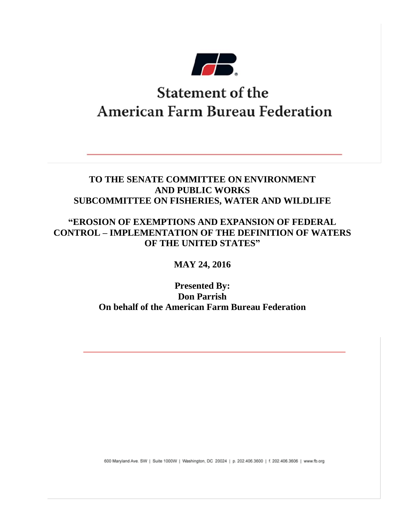

# **Statement of the American Farm Bureau Federation**

### **TO THE SENATE COMMITTEE ON ENVIRONMENT AND PUBLIC WORKS SUBCOMMITTEE ON FISHERIES, WATER AND WILDLIFE**

### **"EROSION OF EXEMPTIONS AND EXPANSION OF FEDERAL CONTROL – IMPLEMENTATION OF THE DEFINITION OF WATERS OF THE UNITED STATES"**

## **MAY 24, 2016**

### **Presented By: Don Parrish On behalf of the American Farm Bureau Federation**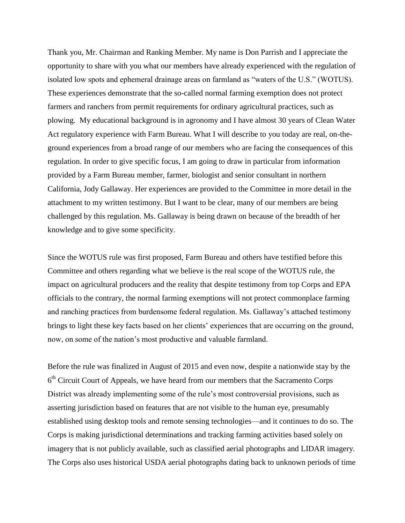Thank you, Mr. Chairman and Ranking Member. My name is Don Parrish and I appreciate the opportunity to share with you what our members have already experienced with the regulation of isolated low spots and ephemeral drainage areas on farmland as "waters of the U.S." (WOTUS). These experiences demonstrate that the so-called normal farming exemption does not protect farmers and ranchers from permit requirements for ordinary agricultural practices, such as plowing. My educational background is in agronomy and I have almost 30 years of Clean Water Act regulatory experience with Farm Bureau. What I will describe to you today are real, on-theground experiences from a broad range of our members who are facing the consequences of this regulation. In order to give specific focus, I am going to draw in particular from information provided by a Farm Bureau member, farmer, biologist and senior consultant in northern California, Jody Gallaway. Her experiences are provided to the Committee in more detail in the attachment to my written testimony. But I want to be clear, many of our members are being challenged by this regulation. Ms. Gallaway is being drawn on because of the breadth of her knowledge and to give some specificity.

Since the WOTUS rule was first proposed, Farm Bureau and others have testified before this Committee and others regarding what we believe is the real scope of the WOTUS rule, the impact on agricultural producers and the reality that despite testimony from top Corps and EPA officials to the contrary, the normal farming exemptions will not protect commonplace farming and ranching practices from burdensome federal regulation. Ms. Gallaway's attached testimony brings to light these key facts based on her clients' experiences that are occurring on the ground, now, on some of the nation's most productive and valuable farmland.

Before the rule was finalized in August of 2015 and even now, despite a nationwide stay by the 6<sup>th</sup> Circuit Court of Appeals, we have heard from our members that the Sacramento Corps District was already implementing some of the rule's most controversial provisions, such as asserting jurisdiction based on features that are not visible to the human eye, presumably established using desktop tools and remote sensing technologies—and it continues to do so. The Corps is making jurisdictional determinations and tracking farming activities based solely on imagery that is not publicly available, such as classified aerial photographs and LIDAR imagery. The Corps also uses historical USDA aerial photographs dating back to unknown periods of time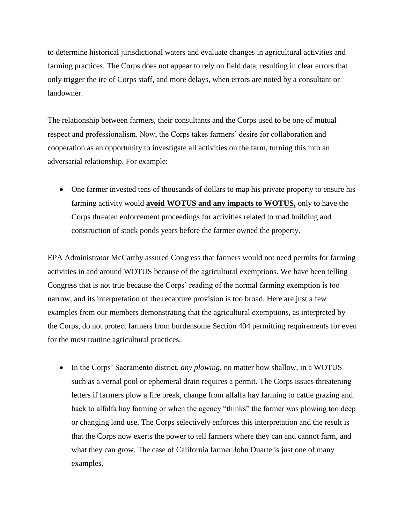to determine historical jurisdictional waters and evaluate changes in agricultural activities and farming practices. The Corps does not appear to rely on field data, resulting in clear errors that only trigger the ire of Corps staff, and more delays, when errors are noted by a consultant or landowner.

The relationship between farmers, their consultants and the Corps used to be one of mutual respect and professionalism. Now, the Corps takes farmers' desire for collaboration and cooperation as an opportunity to investigate all activities on the farm, turning this into an adversarial relationship. For example:

 One farmer invested tens of thousands of dollars to map his private property to ensure his farming activity would **avoid WOTUS and any impacts to WOTUS,** only to have the Corps threaten enforcement proceedings for activities related to road building and construction of stock ponds years before the farmer owned the property.

EPA Administrator McCarthy assured Congress that farmers would not need permits for farming activities in and around WOTUS because of the agricultural exemptions. We have been telling Congress that is not true because the Corps' reading of the normal farming exemption is too narrow, and its interpretation of the recapture provision is too broad. Here are just a few examples from our members demonstrating that the agricultural exemptions, as interpreted by the Corps, do not protect farmers from burdensome Section 404 permitting requirements for even for the most routine agricultural practices.

• In the Corps' Sacramento district, *any plowing*, no matter how shallow, in a WOTUS such as a vernal pool or ephemeral drain requires a permit. The Corps issues threatening letters if farmers plow a fire break, change from alfalfa hay farming to cattle grazing and back to alfalfa hay farming or when the agency "thinks" the farmer was plowing too deep or changing land use. The Corps selectively enforces this interpretation and the result is that the Corps now exerts the power to tell farmers where they can and cannot farm, and what they can grow. The case of California farmer John Duarte is just one of many examples.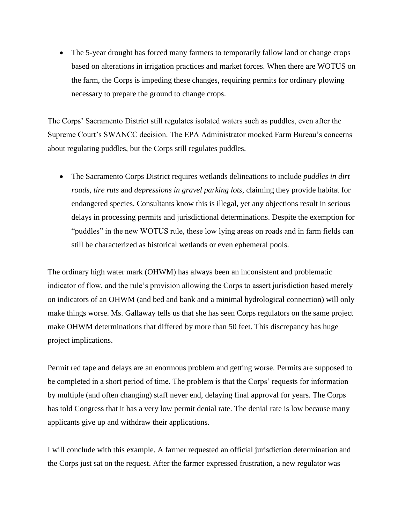• The 5-year drought has forced many farmers to temporarily fallow land or change crops based on alterations in irrigation practices and market forces. When there are WOTUS on the farm, the Corps is impeding these changes, requiring permits for ordinary plowing necessary to prepare the ground to change crops.

The Corps' Sacramento District still regulates isolated waters such as puddles, even after the Supreme Court's SWANCC decision. The EPA Administrator mocked Farm Bureau's concerns about regulating puddles, but the Corps still regulates puddles.

 The Sacramento Corps District requires wetlands delineations to include *puddles in dirt roads*, *tire ruts* and *depressions in gravel parking lots*, claiming they provide habitat for endangered species. Consultants know this is illegal, yet any objections result in serious delays in processing permits and jurisdictional determinations. Despite the exemption for "puddles" in the new WOTUS rule, these low lying areas on roads and in farm fields can still be characterized as historical wetlands or even ephemeral pools.

The ordinary high water mark (OHWM) has always been an inconsistent and problematic indicator of flow, and the rule's provision allowing the Corps to assert jurisdiction based merely on indicators of an OHWM (and bed and bank and a minimal hydrological connection) will only make things worse. Ms. Gallaway tells us that she has seen Corps regulators on the same project make OHWM determinations that differed by more than 50 feet. This discrepancy has huge project implications.

Permit red tape and delays are an enormous problem and getting worse. Permits are supposed to be completed in a short period of time. The problem is that the Corps' requests for information by multiple (and often changing) staff never end, delaying final approval for years. The Corps has told Congress that it has a very low permit denial rate. The denial rate is low because many applicants give up and withdraw their applications.

I will conclude with this example. A farmer requested an official jurisdiction determination and the Corps just sat on the request. After the farmer expressed frustration, a new regulator was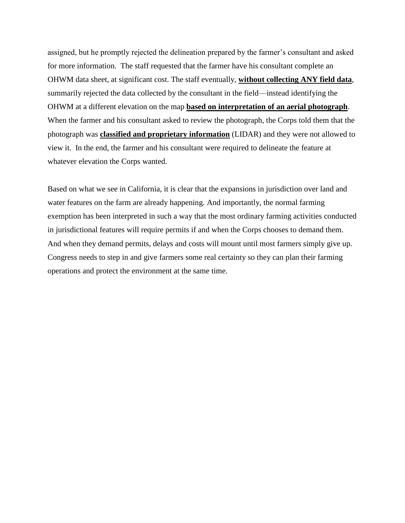assigned, but he promptly rejected the delineation prepared by the farmer's consultant and asked for more information. The staff requested that the farmer have his consultant complete an OHWM data sheet, at significant cost. The staff eventually, **without collecting ANY field data**, summarily rejected the data collected by the consultant in the field—instead identifying the OHWM at a different elevation on the map **based on interpretation of an aerial photograph**. When the farmer and his consultant asked to review the photograph, the Corps told them that the photograph was **classified and proprietary information** (LIDAR) and they were not allowed to view it. In the end, the farmer and his consultant were required to delineate the feature at whatever elevation the Corps wanted.

Based on what we see in California, it is clear that the expansions in jurisdiction over land and water features on the farm are already happening. And importantly, the normal farming exemption has been interpreted in such a way that the most ordinary farming activities conducted in jurisdictional features will require permits if and when the Corps chooses to demand them. And when they demand permits, delays and costs will mount until most farmers simply give up. Congress needs to step in and give farmers some real certainty so they can plan their farming operations and protect the environment at the same time.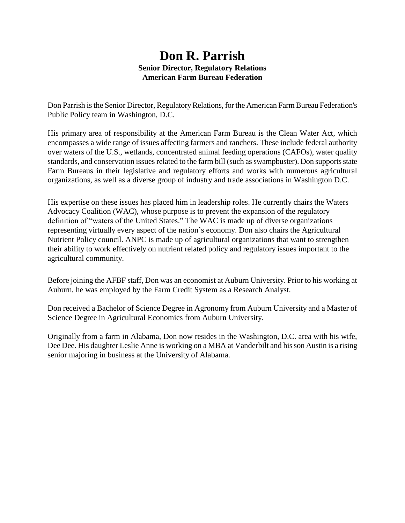### **Don R. Parrish Senior Director, Regulatory Relations American Farm Bureau Federation**

Don Parrish is the Senior Director, Regulatory Relations, for the American Farm Bureau Federation's Public Policy team in Washington, D.C.

His primary area of responsibility at the American Farm Bureau is the Clean Water Act, which encompasses a wide range of issues affecting farmers and ranchers. These include federal authority over waters of the U.S., wetlands, concentrated animal feeding operations (CAFOs), water quality standards, and conservation issues related to the farm bill (such as swampbuster). Don supports state Farm Bureaus in their legislative and regulatory efforts and works with numerous agricultural organizations, as well as a diverse group of industry and trade associations in Washington D.C.

His expertise on these issues has placed him in leadership roles. He currently chairs the Waters Advocacy Coalition (WAC), whose purpose is to prevent the expansion of the regulatory definition of "waters of the United States." The WAC is made up of diverse organizations representing virtually every aspect of the nation's economy. Don also chairs the Agricultural Nutrient Policy council. ANPC is made up of agricultural organizations that want to strengthen their ability to work effectively on nutrient related policy and regulatory issues important to the agricultural community.

Before joining the AFBF staff, Don was an economist at Auburn University. Prior to his working at Auburn, he was employed by the Farm Credit System as a Research Analyst.

Don received a Bachelor of Science Degree in Agronomy from Auburn University and a Master of Science Degree in Agricultural Economics from Auburn University.

Originally from a farm in Alabama, Don now resides in the Washington, D.C. area with his wife, Dee Dee. His daughter Leslie Anne is working on a MBA at Vanderbilt and his son Austin is a rising senior majoring in business at the University of Alabama.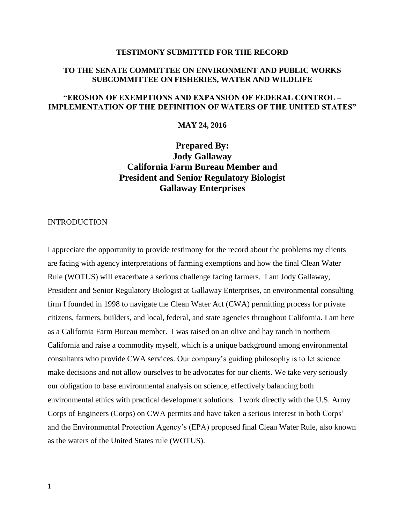#### **TESTIMONY SUBMITTED FOR THE RECORD**

### **TO THE SENATE COMMITTEE ON ENVIRONMENT AND PUBLIC WORKS SUBCOMMITTEE ON FISHERIES, WATER AND WILDLIFE**

### **"EROSION OF EXEMPTIONS AND EXPANSION OF FEDERAL CONTROL – IMPLEMENTATION OF THE DEFINITION OF WATERS OF THE UNITED STATES"**

### **MAY 24, 2016**

### **Prepared By: Jody Gallaway California Farm Bureau Member and President and Senior Regulatory Biologist Gallaway Enterprises**

#### INTRODUCTION

I appreciate the opportunity to provide testimony for the record about the problems my clients are facing with agency interpretations of farming exemptions and how the final Clean Water Rule (WOTUS) will exacerbate a serious challenge facing farmers. I am Jody Gallaway, President and Senior Regulatory Biologist at Gallaway Enterprises, an environmental consulting firm I founded in 1998 to navigate the Clean Water Act (CWA) permitting process for private citizens, farmers, builders, and local, federal, and state agencies throughout California. I am here as a California Farm Bureau member. I was raised on an olive and hay ranch in northern California and raise a commodity myself, which is a unique background among environmental consultants who provide CWA services. Our company's guiding philosophy is to let science make decisions and not allow ourselves to be advocates for our clients. We take very seriously our obligation to base environmental analysis on science, effectively balancing both environmental ethics with practical development solutions. I work directly with the U.S. Army Corps of Engineers (Corps) on CWA permits and have taken a serious interest in both Corps' and the Environmental Protection Agency's (EPA) proposed final Clean Water Rule, also known as the waters of the United States rule (WOTUS).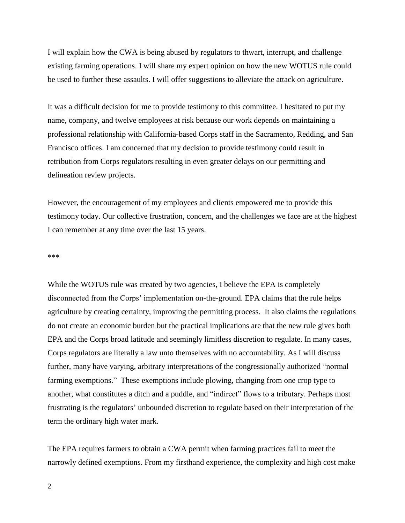I will explain how the CWA is being abused by regulators to thwart, interrupt, and challenge existing farming operations. I will share my expert opinion on how the new WOTUS rule could be used to further these assaults. I will offer suggestions to alleviate the attack on agriculture.

It was a difficult decision for me to provide testimony to this committee. I hesitated to put my name, company, and twelve employees at risk because our work depends on maintaining a professional relationship with California-based Corps staff in the Sacramento, Redding, and San Francisco offices. I am concerned that my decision to provide testimony could result in retribution from Corps regulators resulting in even greater delays on our permitting and delineation review projects.

However, the encouragement of my employees and clients empowered me to provide this testimony today. Our collective frustration, concern, and the challenges we face are at the highest I can remember at any time over the last 15 years.

\*\*\*

While the WOTUS rule was created by two agencies, I believe the EPA is completely disconnected from the Corps' implementation on-the-ground. EPA claims that the rule helps agriculture by creating certainty, improving the permitting process. It also claims the regulations do not create an economic burden but the practical implications are that the new rule gives both EPA and the Corps broad latitude and seemingly limitless discretion to regulate. In many cases, Corps regulators are literally a law unto themselves with no accountability. As I will discuss further, many have varying, arbitrary interpretations of the congressionally authorized "normal farming exemptions." These exemptions include plowing, changing from one crop type to another, what constitutes a ditch and a puddle, and "indirect" flows to a tributary. Perhaps most frustrating is the regulators' unbounded discretion to regulate based on their interpretation of the term the ordinary high water mark.

The EPA requires farmers to obtain a CWA permit when farming practices fail to meet the narrowly defined exemptions. From my firsthand experience, the complexity and high cost make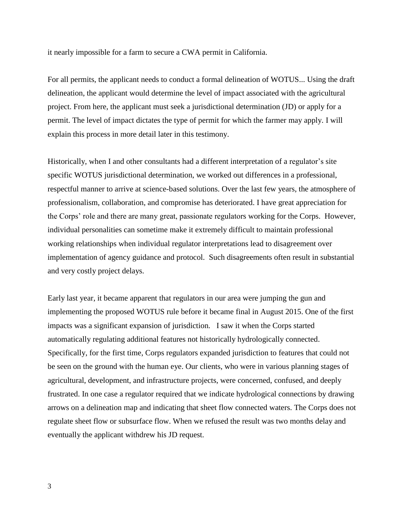it nearly impossible for a farm to secure a CWA permit in California.

For all permits, the applicant needs to conduct a formal delineation of WOTUS... Using the draft delineation, the applicant would determine the level of impact associated with the agricultural project. From here, the applicant must seek a jurisdictional determination (JD) or apply for a permit. The level of impact dictates the type of permit for which the farmer may apply. I will explain this process in more detail later in this testimony.

Historically, when I and other consultants had a different interpretation of a regulator's site specific WOTUS jurisdictional determination, we worked out differences in a professional, respectful manner to arrive at science-based solutions. Over the last few years, the atmosphere of professionalism, collaboration, and compromise has deteriorated. I have great appreciation for the Corps' role and there are many great, passionate regulators working for the Corps. However, individual personalities can sometime make it extremely difficult to maintain professional working relationships when individual regulator interpretations lead to disagreement over implementation of agency guidance and protocol. Such disagreements often result in substantial and very costly project delays.

Early last year, it became apparent that regulators in our area were jumping the gun and implementing the proposed WOTUS rule before it became final in August 2015. One of the first impacts was a significant expansion of jurisdiction. I saw it when the Corps started automatically regulating additional features not historically hydrologically connected. Specifically, for the first time, Corps regulators expanded jurisdiction to features that could not be seen on the ground with the human eye. Our clients, who were in various planning stages of agricultural, development, and infrastructure projects, were concerned, confused, and deeply frustrated. In one case a regulator required that we indicate hydrological connections by drawing arrows on a delineation map and indicating that sheet flow connected waters. The Corps does not regulate sheet flow or subsurface flow. When we refused the result was two months delay and eventually the applicant withdrew his JD request.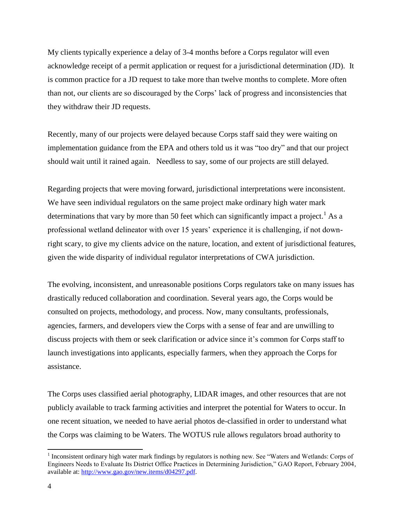My clients typically experience a delay of 3-4 months before a Corps regulator will even acknowledge receipt of a permit application or request for a jurisdictional determination (JD). It is common practice for a JD request to take more than twelve months to complete. More often than not, our clients are so discouraged by the Corps' lack of progress and inconsistencies that they withdraw their JD requests.

Recently, many of our projects were delayed because Corps staff said they were waiting on implementation guidance from the EPA and others told us it was "too dry" and that our project should wait until it rained again. Needless to say, some of our projects are still delayed.

Regarding projects that were moving forward, jurisdictional interpretations were inconsistent. We have seen individual regulators on the same project make ordinary high water mark determinations that vary by more than 50 feet which can significantly impact a project.<sup>1</sup> As a professional wetland delineator with over 15 years' experience it is challenging, if not downright scary, to give my clients advice on the nature, location, and extent of jurisdictional features, given the wide disparity of individual regulator interpretations of CWA jurisdiction.

The evolving, inconsistent, and unreasonable positions Corps regulators take on many issues has drastically reduced collaboration and coordination. Several years ago, the Corps would be consulted on projects, methodology, and process. Now, many consultants, professionals, agencies, farmers, and developers view the Corps with a sense of fear and are unwilling to discuss projects with them or seek clarification or advice since it's common for Corps staff to launch investigations into applicants, especially farmers, when they approach the Corps for assistance.

The Corps uses classified aerial photography, LIDAR images, and other resources that are not publicly available to track farming activities and interpret the potential for Waters to occur. In one recent situation, we needed to have aerial photos de-classified in order to understand what the Corps was claiming to be Waters. The WOTUS rule allows regulators broad authority to

 $\overline{a}$ 

<sup>&</sup>lt;sup>1</sup> Inconsistent ordinary high water mark findings by regulators is nothing new. See "Waters and Wetlands: Corps of Engineers Needs to Evaluate Its District Office Practices in Determining Jurisdiction," GAO Report, February 2004, available at: [http://www.gao.gov/new.items/d04297.pdf.](http://www.gao.gov/new.items/d04297.pdf)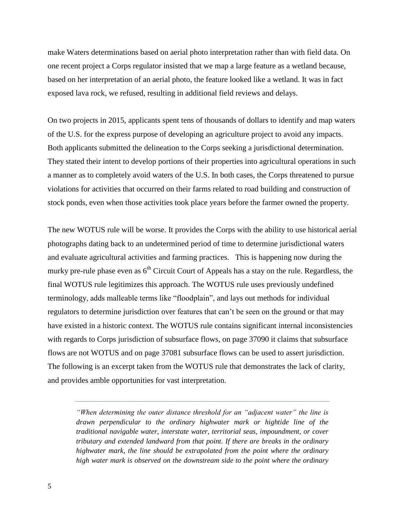make Waters determinations based on aerial photo interpretation rather than with field data. On one recent project a Corps regulator insisted that we map a large feature as a wetland because, based on her interpretation of an aerial photo, the feature looked like a wetland. It was in fact exposed lava rock, we refused, resulting in additional field reviews and delays.

On two projects in 2015, applicants spent tens of thousands of dollars to identify and map waters of the U.S. for the express purpose of developing an agriculture project to avoid any impacts. Both applicants submitted the delineation to the Corps seeking a jurisdictional determination. They stated their intent to develop portions of their properties into agricultural operations in such a manner as to completely avoid waters of the U.S. In both cases, the Corps threatened to pursue violations for activities that occurred on their farms related to road building and construction of stock ponds, even when those activities took place years before the farmer owned the property.

The new WOTUS rule will be worse. It provides the Corps with the ability to use historical aerial photographs dating back to an undetermined period of time to determine jurisdictional waters and evaluate agricultural activities and farming practices. This is happening now during the murky pre-rule phase even as  $6<sup>th</sup>$  Circuit Court of Appeals has a stay on the rule. Regardless, the final WOTUS rule legitimizes this approach. The WOTUS rule uses previously undefined terminology, adds malleable terms like "floodplain", and lays out methods for individual regulators to determine jurisdiction over features that can't be seen on the ground or that may have existed in a historic context. The WOTUS rule contains significant internal inconsistencies with regards to Corps jurisdiction of subsurface flows, on page 37090 it claims that subsurface flows are not WOTUS and on page 37081 subsurface flows can be used to assert jurisdiction. The following is an excerpt taken from the WOTUS rule that demonstrates the lack of clarity, and provides amble opportunities for vast interpretation.

*<sup>&</sup>quot;When determining the outer distance threshold for an "adjacent water" the line is drawn perpendicular to the ordinary highwater mark or hightide line of the traditional navigable water, interstate water, territorial seas, impoundment, or cover tributary and extended landward from that point. If there are breaks in the ordinary highwater mark, the line should be extrapolated from the point where the ordinary high water mark is observed on the downstream side to the point where the ordinary*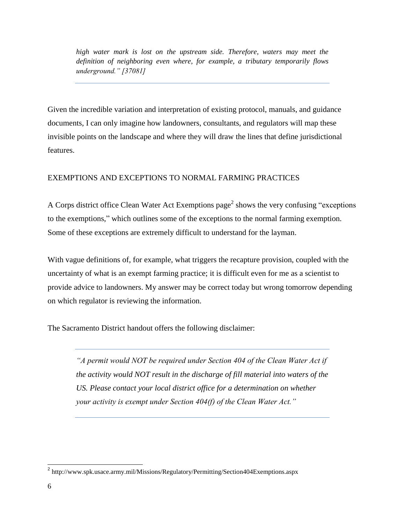*high water mark is lost on the upstream side. Therefore, waters may meet the definition of neighboring even where, for example, a tributary temporarily flows underground." [37081]* 

Given the incredible variation and interpretation of existing protocol, manuals, and guidance documents, I can only imagine how landowners, consultants, and regulators will map these invisible points on the landscape and where they will draw the lines that define jurisdictional features.

### EXEMPTIONS AND EXCEPTIONS TO NORMAL FARMING PRACTICES

A Corps district office Clean Water Act Exemptions page<sup>2</sup> shows the very confusing "exceptions" to the exemptions," which outlines some of the exceptions to the normal farming exemption. Some of these exceptions are extremely difficult to understand for the layman.

With vague definitions of, for example, what triggers the recapture provision, coupled with the uncertainty of what is an exempt farming practice; it is difficult even for me as a scientist to provide advice to landowners. My answer may be correct today but wrong tomorrow depending on which regulator is reviewing the information.

The Sacramento District handout offers the following disclaimer:

*"A permit would NOT be required under Section 404 of the Clean Water Act if the activity would NOT result in the discharge of fill material into waters of the US. Please contact your local district office for a determination on whether your activity is exempt under Section 404(f) of the Clean Water Act."* 

 $\overline{\phantom{a}}$ 

<sup>&</sup>lt;sup>2</sup> http://www.spk.usace.army.mil/Missions/Regulatory/Permitting/Section404Exemptions.aspx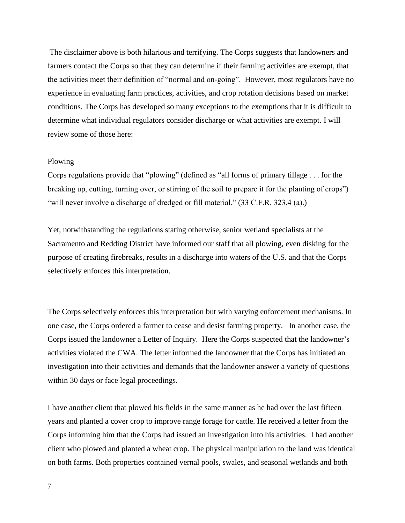The disclaimer above is both hilarious and terrifying. The Corps suggests that landowners and farmers contact the Corps so that they can determine if their farming activities are exempt, that the activities meet their definition of "normal and on-going". However, most regulators have no experience in evaluating farm practices, activities, and crop rotation decisions based on market conditions. The Corps has developed so many exceptions to the exemptions that it is difficult to determine what individual regulators consider discharge or what activities are exempt. I will review some of those here:

#### Plowing

Corps regulations provide that "plowing" (defined as "all forms of primary tillage . . . for the breaking up, cutting, turning over, or stirring of the soil to prepare it for the planting of crops") "will never involve a discharge of dredged or fill material." (33 C.F.R. 323.4 (a).)

Yet, notwithstanding the regulations stating otherwise, senior wetland specialists at the Sacramento and Redding District have informed our staff that all plowing, even disking for the purpose of creating firebreaks, results in a discharge into waters of the U.S. and that the Corps selectively enforces this interpretation.

The Corps selectively enforces this interpretation but with varying enforcement mechanisms. In one case, the Corps ordered a farmer to cease and desist farming property. In another case, the Corps issued the landowner a Letter of Inquiry. Here the Corps suspected that the landowner's activities violated the CWA. The letter informed the landowner that the Corps has initiated an investigation into their activities and demands that the landowner answer a variety of questions within 30 days or face legal proceedings.

I have another client that plowed his fields in the same manner as he had over the last fifteen years and planted a cover crop to improve range forage for cattle. He received a letter from the Corps informing him that the Corps had issued an investigation into his activities. I had another client who plowed and planted a wheat crop. The physical manipulation to the land was identical on both farms. Both properties contained vernal pools, swales, and seasonal wetlands and both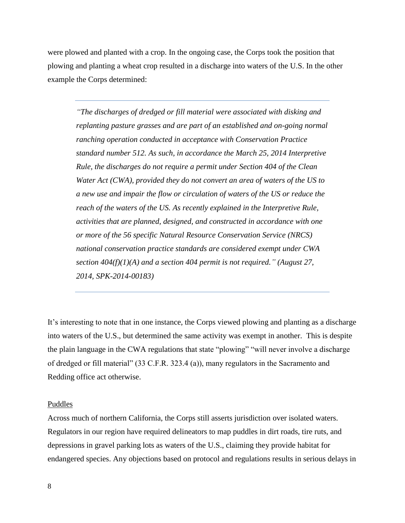were plowed and planted with a crop. In the ongoing case, the Corps took the position that plowing and planting a wheat crop resulted in a discharge into waters of the U.S. In the other example the Corps determined:

*"The discharges of dredged or fill material were associated with disking and replanting pasture grasses and are part of an established and on-going normal ranching operation conducted in acceptance with Conservation Practice standard number 512. As such, in accordance the March 25, 2014 Interpretive Rule, the discharges do not require a permit under Section 404 of the Clean Water Act (CWA), provided they do not convert an area of waters of the US to a new use and impair the flow or circulation of waters of the US or reduce the reach of the waters of the US. As recently explained in the Interpretive Rule, activities that are planned, designed, and constructed in accordance with one or more of the 56 specific Natural Resource Conservation Service (NRCS) national conservation practice standards are considered exempt under CWA section 404(f)(1)(A) and a section 404 permit is not required." (August 27, 2014, SPK-2014-00183)*

It's interesting to note that in one instance, the Corps viewed plowing and planting as a discharge into waters of the U.S., but determined the same activity was exempt in another. This is despite the plain language in the CWA regulations that state "plowing" "will never involve a discharge of dredged or fill material" (33 C.F.R. 323.4 (a)), many regulators in the Sacramento and Redding office act otherwise.

#### Puddles

Across much of northern California, the Corps still asserts jurisdiction over isolated waters. Regulators in our region have required delineators to map puddles in dirt roads, tire ruts, and depressions in gravel parking lots as waters of the U.S., claiming they provide habitat for endangered species. Any objections based on protocol and regulations results in serious delays in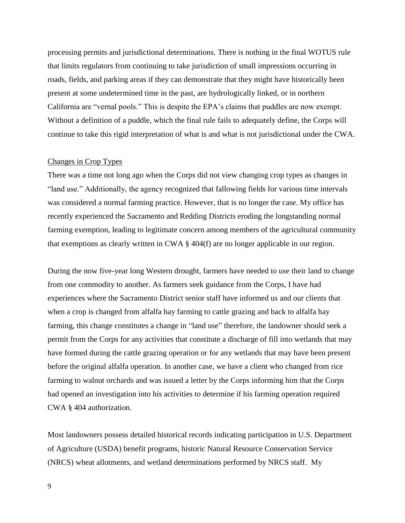processing permits and jurisdictional determinations. There is nothing in the final WOTUS rule that limits regulators from continuing to take jurisdiction of small impressions occurring in roads, fields, and parking areas if they can demonstrate that they might have historically been present at some undetermined time in the past, are hydrologically linked, or in northern California are "vernal pools." This is despite the EPA's claims that puddles are now exempt. Without a definition of a puddle, which the final rule fails to adequately define, the Corps will continue to take this rigid interpretation of what is and what is not jurisdictional under the CWA.

### Changes in Crop Types

There was a time not long ago when the Corps did not view changing crop types as changes in "land use." Additionally, the agency recognized that fallowing fields for various time intervals was considered a normal farming practice. However, that is no longer the case. My office has recently experienced the Sacramento and Redding Districts eroding the longstanding normal farming exemption, leading to legitimate concern among members of the agricultural community that exemptions as clearly written in CWA § 404(f) are no longer applicable in our region.

During the now five-year long Western drought, farmers have needed to use their land to change from one commodity to another. As farmers seek guidance from the Corps, I have had experiences where the Sacramento District senior staff have informed us and our clients that when a crop is changed from alfalfa hay farming to cattle grazing and back to alfalfa hay farming, this change constitutes a change in "land use" therefore, the landowner should seek a permit from the Corps for any activities that constitute a discharge of fill into wetlands that may have formed during the cattle grazing operation or for any wetlands that may have been present before the original alfalfa operation. In another case, we have a client who changed from rice farming to walnut orchards and was issued a letter by the Corps informing him that the Corps had opened an investigation into his activities to determine if his farming operation required CWA § 404 authorization.

Most landowners possess detailed historical records indicating participation in U.S. Department of Agriculture (USDA) benefit programs, historic Natural Resource Conservation Service (NRCS) wheat allotments, and wetland determinations performed by NRCS staff. My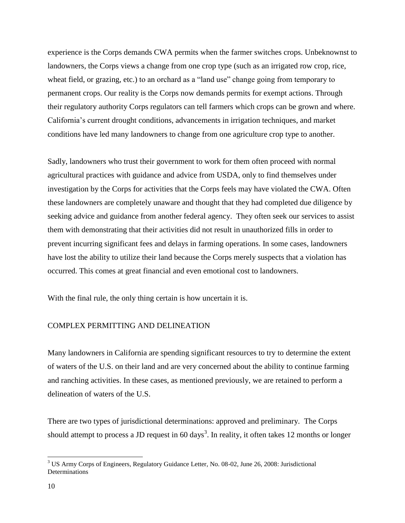experience is the Corps demands CWA permits when the farmer switches crops. Unbeknownst to landowners, the Corps views a change from one crop type (such as an irrigated row crop, rice, wheat field, or grazing, etc.) to an orchard as a "land use" change going from temporary to permanent crops. Our reality is the Corps now demands permits for exempt actions. Through their regulatory authority Corps regulators can tell farmers which crops can be grown and where. California's current drought conditions, advancements in irrigation techniques, and market conditions have led many landowners to change from one agriculture crop type to another.

Sadly, landowners who trust their government to work for them often proceed with normal agricultural practices with guidance and advice from USDA, only to find themselves under investigation by the Corps for activities that the Corps feels may have violated the CWA. Often these landowners are completely unaware and thought that they had completed due diligence by seeking advice and guidance from another federal agency. They often seek our services to assist them with demonstrating that their activities did not result in unauthorized fills in order to prevent incurring significant fees and delays in farming operations. In some cases, landowners have lost the ability to utilize their land because the Corps merely suspects that a violation has occurred. This comes at great financial and even emotional cost to landowners.

With the final rule, the only thing certain is how uncertain it is.

### COMPLEX PERMITTING AND DELINEATION

Many landowners in California are spending significant resources to try to determine the extent of waters of the U.S. on their land and are very concerned about the ability to continue farming and ranching activities. In these cases, as mentioned previously, we are retained to perform a delineation of waters of the U.S.

There are two types of jurisdictional determinations: approved and preliminary. The Corps should attempt to process a JD request in 60 days<sup>3</sup>. In reality, it often takes 12 months or longer

<sup>3</sup> US Army Corps of Engineers, Regulatory Guidance Letter, No. 08-02, June 26, 2008: Jurisdictional **Determinations**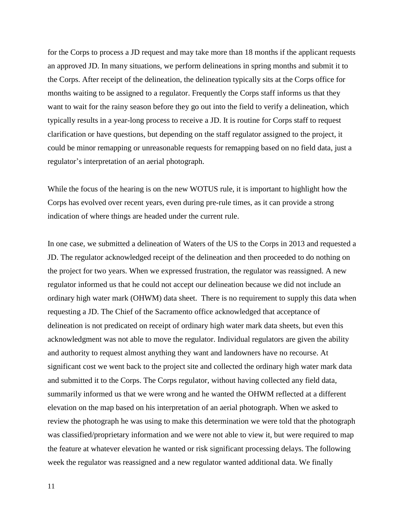for the Corps to process a JD request and may take more than 18 months if the applicant requests an approved JD. In many situations, we perform delineations in spring months and submit it to the Corps. After receipt of the delineation, the delineation typically sits at the Corps office for months waiting to be assigned to a regulator. Frequently the Corps staff informs us that they want to wait for the rainy season before they go out into the field to verify a delineation, which typically results in a year-long process to receive a JD. It is routine for Corps staff to request clarification or have questions, but depending on the staff regulator assigned to the project, it could be minor remapping or unreasonable requests for remapping based on no field data, just a regulator's interpretation of an aerial photograph.

While the focus of the hearing is on the new WOTUS rule, it is important to highlight how the Corps has evolved over recent years, even during pre-rule times, as it can provide a strong indication of where things are headed under the current rule.

In one case, we submitted a delineation of Waters of the US to the Corps in 2013 and requested a JD. The regulator acknowledged receipt of the delineation and then proceeded to do nothing on the project for two years. When we expressed frustration, the regulator was reassigned. A new regulator informed us that he could not accept our delineation because we did not include an ordinary high water mark (OHWM) data sheet. There is no requirement to supply this data when requesting a JD. The Chief of the Sacramento office acknowledged that acceptance of delineation is not predicated on receipt of ordinary high water mark data sheets, but even this acknowledgment was not able to move the regulator. Individual regulators are given the ability and authority to request almost anything they want and landowners have no recourse. At significant cost we went back to the project site and collected the ordinary high water mark data and submitted it to the Corps. The Corps regulator, without having collected any field data, summarily informed us that we were wrong and he wanted the OHWM reflected at a different elevation on the map based on his interpretation of an aerial photograph. When we asked to review the photograph he was using to make this determination we were told that the photograph was classified/proprietary information and we were not able to view it, but were required to map the feature at whatever elevation he wanted or risk significant processing delays. The following week the regulator was reassigned and a new regulator wanted additional data. We finally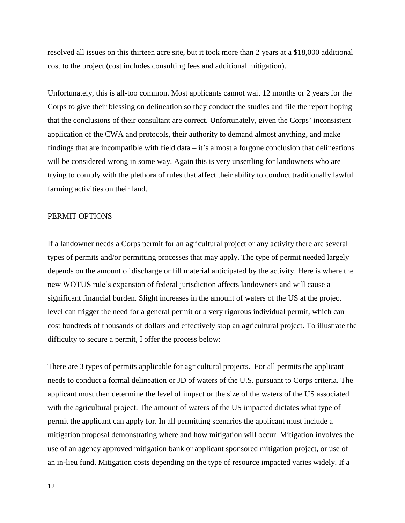resolved all issues on this thirteen acre site, but it took more than 2 years at a \$18,000 additional cost to the project (cost includes consulting fees and additional mitigation).

Unfortunately, this is all-too common. Most applicants cannot wait 12 months or 2 years for the Corps to give their blessing on delineation so they conduct the studies and file the report hoping that the conclusions of their consultant are correct. Unfortunately, given the Corps' inconsistent application of the CWA and protocols, their authority to demand almost anything, and make findings that are incompatible with field data  $-$  it's almost a forgone conclusion that delineations will be considered wrong in some way. Again this is very unsettling for landowners who are trying to comply with the plethora of rules that affect their ability to conduct traditionally lawful farming activities on their land.

#### PERMIT OPTIONS

If a landowner needs a Corps permit for an agricultural project or any activity there are several types of permits and/or permitting processes that may apply. The type of permit needed largely depends on the amount of discharge or fill material anticipated by the activity. Here is where the new WOTUS rule's expansion of federal jurisdiction affects landowners and will cause a significant financial burden. Slight increases in the amount of waters of the US at the project level can trigger the need for a general permit or a very rigorous individual permit, which can cost hundreds of thousands of dollars and effectively stop an agricultural project. To illustrate the difficulty to secure a permit, I offer the process below:

There are 3 types of permits applicable for agricultural projects. For all permits the applicant needs to conduct a formal delineation or JD of waters of the U.S. pursuant to Corps criteria. The applicant must then determine the level of impact or the size of the waters of the US associated with the agricultural project. The amount of waters of the US impacted dictates what type of permit the applicant can apply for. In all permitting scenarios the applicant must include a mitigation proposal demonstrating where and how mitigation will occur. Mitigation involves the use of an agency approved mitigation bank or applicant sponsored mitigation project, or use of an in-lieu fund. Mitigation costs depending on the type of resource impacted varies widely. If a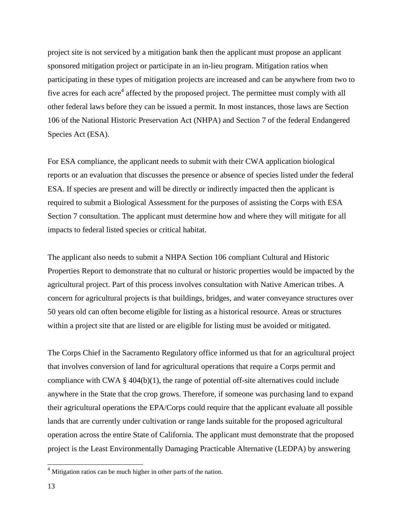project site is not serviced by a mitigation bank then the applicant must propose an applicant sponsored mitigation project or participate in an in-lieu program. Mitigation ratios when participating in these types of mitigation projects are increased and can be anywhere from two to five acres for each acre<sup>4</sup> affected by the proposed project. The permittee must comply with all other federal laws before they can be issued a permit. In most instances, those laws are Section 106 of the National Historic Preservation Act (NHPA) and Section 7 of the federal Endangered Species Act (ESA).

For ESA compliance, the applicant needs to submit with their CWA application biological reports or an evaluation that discusses the presence or absence of species listed under the federal ESA. If species are present and will be directly or indirectly impacted then the applicant is required to submit a Biological Assessment for the purposes of assisting the Corps with ESA Section 7 consultation. The applicant must determine how and where they will mitigate for all impacts to federal listed species or critical habitat.

The applicant also needs to submit a NHPA Section 106 compliant Cultural and Historic Properties Report to demonstrate that no cultural or historic properties would be impacted by the agricultural project. Part of this process involves consultation with Native American tribes. A concern for agricultural projects is that buildings, bridges, and water conveyance structures over 50 years old can often become eligible for listing as a historical resource. Areas or structures within a project site that are listed or are eligible for listing must be avoided or mitigated.

The Corps Chief in the Sacramento Regulatory office informed us that for an agricultural project that involves conversion of land for agricultural operations that require a Corps permit and compliance with CWA  $\S$  404(b)(1), the range of potential off-site alternatives could include anywhere in the State that the crop grows. Therefore, if someone was purchasing land to expand their agricultural operations the EPA/Corps could require that the applicant evaluate all possible lands that are currently under cultivation or range lands suitable for the proposed agricultural operation across the entire State of California. The applicant must demonstrate that the proposed project is the Least Environmentally Damaging Practicable Alternative (LEDPA) by answering

 $\overline{\phantom{a}}$ 

<sup>&</sup>lt;sup>4</sup> Mitigation ratios can be much higher in other parts of the nation.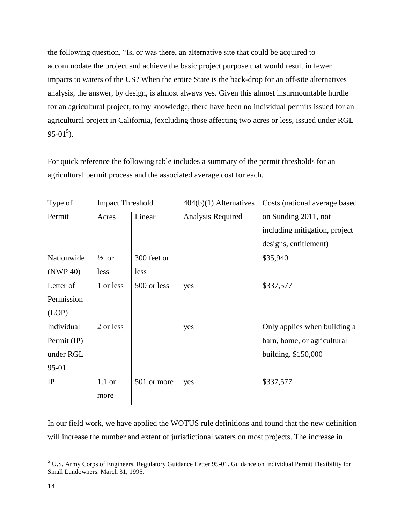the following question, "Is, or was there, an alternative site that could be acquired to accommodate the project and achieve the basic project purpose that would result in fewer impacts to waters of the US? When the entire State is the back-drop for an off-site alternatives analysis, the answer, by design, is almost always yes. Given this almost insurmountable hurdle for an agricultural project, to my knowledge, there have been no individual permits issued for an agricultural project in California, (excluding those affecting two acres or less, issued under RGL  $95-01^5$ ).

For quick reference the following table includes a summary of the permit thresholds for an agricultural permit process and the associated average cost for each.

| Type of               | <b>Impact Threshold</b> |             | $404(b)(1)$ Alternatives | Costs (national average based |
|-----------------------|-------------------------|-------------|--------------------------|-------------------------------|
| Permit                | Acres                   | Linear      | Analysis Required        | on Sunding 2011, not          |
|                       |                         |             |                          | including mitigation, project |
|                       |                         |             |                          | designs, entitlement)         |
| Nationwide            | $\frac{1}{2}$ or        | 300 feet or |                          | \$35,940                      |
| (NWP 40)              | less                    | less        |                          |                               |
| Letter of             | 1 or less               | 500 or less | yes                      | \$337,577                     |
| Permission            |                         |             |                          |                               |
| (LOP)                 |                         |             |                          |                               |
| Individual            | 2 or less               |             | yes                      | Only applies when building a  |
| Permit $(\mathbb{P})$ |                         |             |                          | barn, home, or agricultural   |
| under RGL             |                         |             |                          | building. \$150,000           |
| 95-01                 |                         |             |                          |                               |
| IP                    | $1.1$ or                | 501 or more | yes                      | \$337,577                     |
|                       | more                    |             |                          |                               |

In our field work, we have applied the WOTUS rule definitions and found that the new definition will increase the number and extent of jurisdictional waters on most projects. The increase in

<sup>&</sup>lt;sup>5</sup> U.S. Army Corps of Engineers. Regulatory Guidance Letter 95-01. Guidance on Individual Permit Flexibility for Small Landowners. March 31, 1995.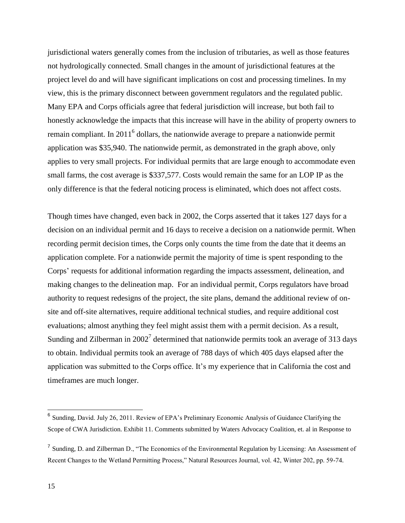jurisdictional waters generally comes from the inclusion of tributaries, as well as those features not hydrologically connected. Small changes in the amount of jurisdictional features at the project level do and will have significant implications on cost and processing timelines. In my view, this is the primary disconnect between government regulators and the regulated public. Many EPA and Corps officials agree that federal jurisdiction will increase, but both fail to honestly acknowledge the impacts that this increase will have in the ability of property owners to remain compliant. In 2011<sup>6</sup> dollars, the nationwide average to prepare a nationwide permit application was \$35,940. The nationwide permit, as demonstrated in the graph above, only applies to very small projects. For individual permits that are large enough to accommodate even small farms, the cost average is \$337,577. Costs would remain the same for an LOP IP as the only difference is that the federal noticing process is eliminated, which does not affect costs.

Though times have changed, even back in 2002, the Corps asserted that it takes 127 days for a decision on an individual permit and 16 days to receive a decision on a nationwide permit. When recording permit decision times, the Corps only counts the time from the date that it deems an application complete. For a nationwide permit the majority of time is spent responding to the Corps' requests for additional information regarding the impacts assessment, delineation, and making changes to the delineation map. For an individual permit, Corps regulators have broad authority to request redesigns of the project, the site plans, demand the additional review of onsite and off-site alternatives, require additional technical studies, and require additional cost evaluations; almost anything they feel might assist them with a permit decision. As a result, Sunding and Zilberman in  $2002<sup>7</sup>$  determined that nationwide permits took an average of 313 days to obtain. Individual permits took an average of 788 days of which 405 days elapsed after the application was submitted to the Corps office. It's my experience that in California the cost and timeframes are much longer.

<sup>&</sup>lt;sup>6</sup> Sunding, David. July 26, 2011. Review of EPA's Preliminary Economic Analysis of Guidance Clarifying the Scope of CWA Jurisdiction. Exhibit 11. Comments submitted by Waters Advocacy Coalition, et. al in Response to

<sup>&</sup>lt;sup>7</sup> Sunding, D. and Zilberman D., "The Economics of the Environmental Regulation by Licensing: An Assessment of Recent Changes to the Wetland Permitting Process," Natural Resources Journal, vol. 42, Winter 202, pp. 59-74.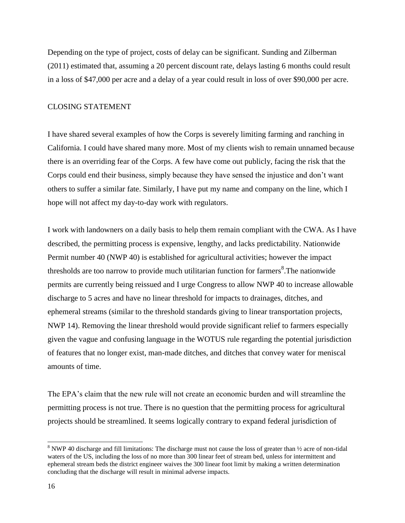Depending on the type of project, costs of delay can be significant. Sunding and Zilberman (2011) estimated that, assuming a 20 percent discount rate, delays lasting 6 months could result in a loss of \$47,000 per acre and a delay of a year could result in loss of over \$90,000 per acre.

### CLOSING STATEMENT

I have shared several examples of how the Corps is severely limiting farming and ranching in California. I could have shared many more. Most of my clients wish to remain unnamed because there is an overriding fear of the Corps. A few have come out publicly, facing the risk that the Corps could end their business, simply because they have sensed the injustice and don't want others to suffer a similar fate. Similarly, I have put my name and company on the line, which I hope will not affect my day-to-day work with regulators.

I work with landowners on a daily basis to help them remain compliant with the CWA. As I have described, the permitting process is expensive, lengthy, and lacks predictability. Nationwide Permit number 40 (NWP 40) is established for agricultural activities; however the impact thresholds are too narrow to provide much utilitarian function for farmers<sup>8</sup>. The nationwide permits are currently being reissued and I urge Congress to allow NWP 40 to increase allowable discharge to 5 acres and have no linear threshold for impacts to drainages, ditches, and ephemeral streams (similar to the threshold standards giving to linear transportation projects, NWP 14). Removing the linear threshold would provide significant relief to farmers especially given the vague and confusing language in the WOTUS rule regarding the potential jurisdiction of features that no longer exist, man-made ditches, and ditches that convey water for meniscal amounts of time.

The EPA's claim that the new rule will not create an economic burden and will streamline the permitting process is not true. There is no question that the permitting process for agricultural projects should be streamlined. It seems logically contrary to expand federal jurisdiction of

<sup>&</sup>lt;sup>8</sup> NWP 40 discharge and fill limitations: The discharge must not cause the loss of greater than  $\frac{1}{2}$  acre of non-tidal waters of the US, including the loss of no more than 300 linear feet of stream bed, unless for intermittent and ephemeral stream beds the district engineer waives the 300 linear foot limit by making a written determination concluding that the discharge will result in minimal adverse impacts.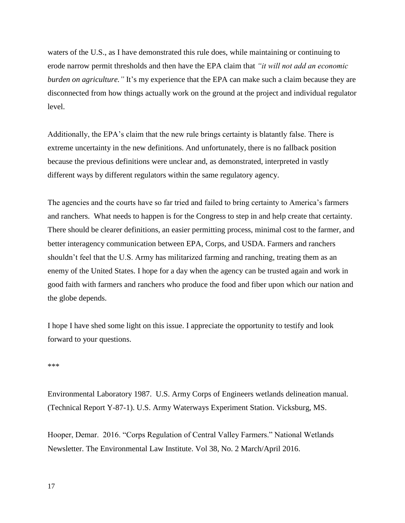waters of the U.S., as I have demonstrated this rule does, while maintaining or continuing to erode narrow permit thresholds and then have the EPA claim that *"it will not add an economic burden on agriculture."* It's my experience that the EPA can make such a claim because they are disconnected from how things actually work on the ground at the project and individual regulator level.

Additionally, the EPA's claim that the new rule brings certainty is blatantly false. There is extreme uncertainty in the new definitions. And unfortunately, there is no fallback position because the previous definitions were unclear and, as demonstrated, interpreted in vastly different ways by different regulators within the same regulatory agency.

The agencies and the courts have so far tried and failed to bring certainty to America's farmers and ranchers. What needs to happen is for the Congress to step in and help create that certainty. There should be clearer definitions, an easier permitting process, minimal cost to the farmer, and better interagency communication between EPA, Corps, and USDA. Farmers and ranchers shouldn't feel that the U.S. Army has militarized farming and ranching, treating them as an enemy of the United States. I hope for a day when the agency can be trusted again and work in good faith with farmers and ranchers who produce the food and fiber upon which our nation and the globe depends.

I hope I have shed some light on this issue. I appreciate the opportunity to testify and look forward to your questions.

#### \*\*\*

Environmental Laboratory 1987. U.S. Army Corps of Engineers wetlands delineation manual. (Technical Report Y-87-1). U.S. Army Waterways Experiment Station. Vicksburg, MS.

Hooper, Demar. 2016. "Corps Regulation of Central Valley Farmers." National Wetlands Newsletter. The Environmental Law Institute. Vol 38, No. 2 March/April 2016.